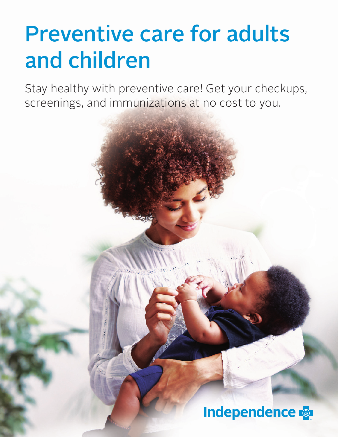# Preventive care for adults and children

Stay healthy with preventive care! Get your checkups, screenings, and immunizations at no cost to you.

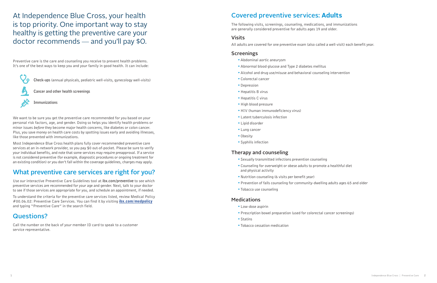At Independence Blue Cross, your health is top priority. One important way to stay healthy is getting the preventive care your doctor recommends — and you'll pay \$0.

**Check-ups** (annual physicals, pediatric well-visits, gynecology well-visits)

**Cancer and other health screenings**

**Immunizations**

Preventive care is the care and counseling you receive to prevent health problems. It's one of the best ways to keep you and your family in good health. It can include:



We want to be sure you get the preventive care recommended for you based on your personal risk factors, age, and gender. Doing so helps you identify health problems or minor issues *before* they become major health concerns, like diabetes or colon cancer. Plus, you save money on health care costs by spotting issues early and avoiding illnesses, like those prevented with immunizations.

Most Independence Blue Cross health plans fully cover recommended preventive care services at an in-network provider, so you pay \$0 out-of-pocket. Please be sure to verify your individual benefits, and note that some services may require preapproval. If a service is not considered preventive (for example, diagnostic procedures or ongoing treatment for an existing condition) or you don't fall within the coverage guidelines, charges may apply.

# What preventive care services are right for you?

Use our interactive Preventive Care Guidelines tool at **ibx.com/preventive** to see which preventive services are recommended for your age and gender. Next, talk to your doctor to see if those services are appropriate for you, and schedule an appointment, if needed.

To understand the criteria for the preventive care services listed, review Medical Policy #00.06.02: Preventive Care Services. You can find it by visiting **[ibx.com/medpolicy](https://www.ibx.com/resources/for-providers/policies-and-guidelines/operations-management/medical-policy)** and typing "Preventive Care" in the search field.

# Questions?

Call the number on the back of your member ID card to speak to a customer service representative.

# Covered preventive services: **Adults**

The following visits, screenings, counseling, medications, and immunizations are generally considered preventive for adults ages 19 and older.

#### Visits

All adults are covered for one preventive exam (also called a well-visit) each benefit year.

#### **Screenings**

- •Abdominal aortic aneurysm
- •Abnormal blood glucose and Type 2 diabetes mellitus
- •Alcohol and drug use/misuse and behavioral counseling intervention
- •Colorectal cancer
- •Depression
- Hepatitis B virus
- Hepatitis C virus
- •High blood pressure
- HIV (human immunodeficiency virus)
- •Latent tuberculosis infection
- •Lipid disorder
- •Lung cancer
- •Obesity
- •Syphilis infection

#### Therapy and counseling

- •Sexually transmitted infections prevention counseling
- •Counseling for overweight or obese adults to promote a healthful diet and physical activity
- •Nutrition counseling (6 visits per benefit year)
- •Prevention of falls counseling for community-dwelling adults ages 65 and older
- •Tobacco use counseling

#### **Medications**

- •Low-dose aspirin
- Prescription bowel preparation (used for colorectal cancer screenings)
- Statins
- •Tobacco cessation medication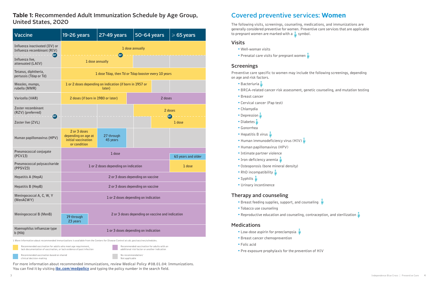The following visits, screenings, counseling, medications, and immunizations are generally considered preventive for women. Preventive care services that are applicable to pregnant women are marked with a  $\zeta$  symbol.

## Covered preventive services: **Women**

- •Well-woman visits
- Prenatal care visits for pregnant women

#### Visits

#### Screenings

Preventive care specific to women may include the following screenings, depending on age and risk factors.

- Bacteriuria
- •BRCA-related cancer risk assessment, genetic counseling, and mutation testing
- •Breast cancer
- •Cervical cancer (Pap test)
- •Chlamydia
- Depression
- Diabetes
- •Gonorrhea
- Hepatitis B virus
- Human immunodeficiency virus (HIV)
- •Human papillomavirus (HPV)
- •Intimate partner violence
- Iron-deficiency anemia
- •Osteoporosis (bone mineral density)
- RhD incompatibility
- Syphilis
- •Urinary incontinence

#### Therapy and counseling

- Breast feeding supplies, support, and counseling
- •Tobacco use counseling
- Reproductive education and counseling, contraception, and sterilization  $\triangle$

#### **Medications**

- Low-dose aspirin for preeclampsia
- •Breast cancer chemoprevention
- •Folic acid
- Pre-exposure prophylaxis for the prevention of HIV



For more information about recommended immunizations, review Medical Policy #08.01.04: Immunizations. You can find it by visiting **[ibx.com/medpolicy](https://www.ibx.com/resources/for-providers/policies-and-guidelines/operations-management/medical-policy)** and typing the policy number in the search field.

### **Table 1:** Recommended Adult Immunization Schedule by Age Group, United States, 2020

| <b>Vaccine</b>                                                 | <b>19-26 years</b>                                                         | 27-49 years                                                        | 50-64 years |                     | $\geqslant$ 65 years |  |  |
|----------------------------------------------------------------|----------------------------------------------------------------------------|--------------------------------------------------------------------|-------------|---------------------|----------------------|--|--|
| Influenza inactivated (IIV) or<br>Influenza recombinant (RIV)  |                                                                            |                                                                    |             |                     |                      |  |  |
| $\overline{\text{or}}$<br>Influenza live,<br>attenuated (LAIV) | 1 dose annually                                                            |                                                                    |             |                     |                      |  |  |
| Tetanus, diphtheria,<br>pertussis (Tdap or Td)                 |                                                                            | 1 dose Tdap, then Td or Tdap booster every 10 years                |             |                     |                      |  |  |
| Measles, mumps,<br>rubella (MMR)                               |                                                                            | 1 or 2 doses depending on indication (if born in 1957 or<br>later) |             |                     |                      |  |  |
| Varicella (VAR)                                                | 2 doses (if born in 1980 or later)                                         | 2 doses                                                            |             |                     |                      |  |  |
| Zoster recombinant<br>(RZV) (preferred)<br>$\bf{C}$            |                                                                            | 2 doses                                                            |             |                     |                      |  |  |
| Zoster live (ZVL)                                              |                                                                            |                                                                    |             | <b>or</b><br>1 dose |                      |  |  |
| Human papillomavirus (HPV)                                     | 2 or 3 doses<br>depending on age at<br>initial vaccination<br>or condition | 27 through<br>45 years                                             |             |                     |                      |  |  |
| Pneumococcal conjugate<br>(PCV13)                              |                                                                            | 65 years and older                                                 |             |                     |                      |  |  |
| Pneumococcal polysaccharide<br>(PPSV23)                        | 1 or 2 doses depending on indication<br>1 dose                             |                                                                    |             |                     |                      |  |  |
| Hepatitis A (HepA)                                             |                                                                            | 2 or 3 doses depending on vaccine                                  |             |                     |                      |  |  |
| Hepatitis B (HepB)                                             |                                                                            | 2 or 3 doses depending on vaccine                                  |             |                     |                      |  |  |
| Meningococcal A, C, W, Y<br>(MenACWY)                          | 1 or 2 doses depending on indication                                       |                                                                    |             |                     |                      |  |  |
| Meningococcal B (MenB)                                         | 2 or 3 doses depending on vaccine and indication<br>19 through<br>23 years |                                                                    |             |                     |                      |  |  |
| Haemophilus influenzae type<br>b (Hib)                         | 1 or 3 doses depending on indication                                       |                                                                    |             |                     |                      |  |  |

1 More information about recommended immunizations is available from the Centers for Disease Control at cdc.gov/vaccines/schedules.

Recommended vaccination for adults who meet age requirement, lack documentation of vaccination, or lack evidence of past infection Recommended vaccination for adults with an

additional risk factor or another indication

Recommended vaccination based on shared clinical decision-making

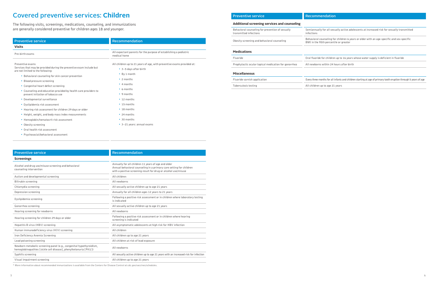| <b>Preventive service</b>                                                  | <b>Recomme</b>                 |  |
|----------------------------------------------------------------------------|--------------------------------|--|
| Additional screening services and counseling                               |                                |  |
| Behavioral counseling for prevention of sexually<br>transmitted infections | Semiannually<br>infections     |  |
| Obesity screening and behavioral counseling                                | Behavioral co<br>BMI in the 95 |  |
| <b>Medications</b>                                                         |                                |  |
| Fluoride                                                                   | Oral fluoride                  |  |
| Prophylactic ocular topical medication for gonorrhea                       | All newborns                   |  |
| <b>Miscellaneous</b>                                                       |                                |  |
| Eluovido varnich application                                               | $E_{100}$ $H_{1000}$ me        |  |

Fluoride varnish application Every three months for all infants and children starting at age of primary tooth eruption through 5 years of age

Tuberculosis testing Tuberculosis testing and the All children up to age 21 years

| <b>Preventive service</b>                                                                                                               | Recommendation                                                                                                                                                                                |
|-----------------------------------------------------------------------------------------------------------------------------------------|-----------------------------------------------------------------------------------------------------------------------------------------------------------------------------------------------|
| <b>Screenings</b>                                                                                                                       |                                                                                                                                                                                               |
| Alcohol and drug use/misuse screening and behavioral<br>counseling intervention                                                         | Annually for all children 11 years of age and older<br>Annual behavioral counseling in a primary care setting for children<br>with a positive screening result for drug or alcohol use/misuse |
| Autism and developmental screening                                                                                                      | All children                                                                                                                                                                                  |
| Bilirubin screening                                                                                                                     | All newborns                                                                                                                                                                                  |
| Chlamydia screening                                                                                                                     | All sexually active children up to age 21 years                                                                                                                                               |
| Depression screening                                                                                                                    | Annually for all children ages 12 years to 21 years                                                                                                                                           |
| Dyslipidemia screening                                                                                                                  | Following a positive risk assessment or in children where laboratory testing<br>is indicated                                                                                                  |
| Gonorrhea screening                                                                                                                     | All sexually active children up to age 21 years                                                                                                                                               |
| Hearing screening for newborns                                                                                                          | All newborns                                                                                                                                                                                  |
| Hearing screening for children 29 days or older                                                                                         | Following a positive risk assessment or in children where hearing<br>screening is indicated                                                                                                   |
| Hepatitis B virus (HBV) screening                                                                                                       | All asymptomatic adolescents at high risk for HBV infection                                                                                                                                   |
| Human immunodeficiency virus (HIV) screening                                                                                            | All children                                                                                                                                                                                  |
| Iron Deficiency Anemia Screening                                                                                                        | All children up to age 21 years                                                                                                                                                               |
| Lead poisoning screening                                                                                                                | All children at risk of lead exposure                                                                                                                                                         |
| Newborn metabolic screening panel (e.g., congenital hypothyroidism,<br>hemoglobinopathies [sickle cell disease], phenylketonuria [PKU]) | All newborns                                                                                                                                                                                  |
| Syphilis screening                                                                                                                      | All sexually active children up to age 21 years with an increased risk for infection                                                                                                          |
| Visual impairment screening                                                                                                             | All children up to age 21 years                                                                                                                                                               |

| <b>Preventive service</b>                                                                                                                                                                                                                                                                                                                                                                                                                                                                                                                                                                                                                              | Recommendation                                                                                                                                                                                                                                                                                |
|--------------------------------------------------------------------------------------------------------------------------------------------------------------------------------------------------------------------------------------------------------------------------------------------------------------------------------------------------------------------------------------------------------------------------------------------------------------------------------------------------------------------------------------------------------------------------------------------------------------------------------------------------------|-----------------------------------------------------------------------------------------------------------------------------------------------------------------------------------------------------------------------------------------------------------------------------------------------|
| <b>Visits</b>                                                                                                                                                                                                                                                                                                                                                                                                                                                                                                                                                                                                                                          |                                                                                                                                                                                                                                                                                               |
| Pre-birth exams                                                                                                                                                                                                                                                                                                                                                                                                                                                                                                                                                                                                                                        | All expectant parents for the purpose of establishing a pediatric<br>medical home                                                                                                                                                                                                             |
| Preventive exams<br>Services that may be provided during the preventive exam include but<br>are not limited to the following:<br>• Behavioral counseling for skin cancer prevention<br>• Blood pressure screening<br>• Congenital heart defect screening<br>• Counseling and education provided by health care providers to<br>prevent initiation of tobacco use<br>• Developmental surveillance<br>• Dyslipidemia risk assessment<br>• Hearing risk assessment for children 29 days or older<br>• Height, weight, and body mass index measurements<br>• Hemoglobin/hematocrit risk assessment<br>• Obesity screening<br>• Oral health risk assessment | All children up to 21 years of age, with preventive exams provided at:<br>• 3-5 days after birth<br>• By 1 month<br>$\cdot$ 2 months<br>$\cdot$ 4 months<br>• 6 months<br>• 9 months<br>• 12 months<br>• 15 months<br>• 18 months<br>• 24 months<br>• 30 months<br>• 3-21 years: annual exams |
| • Psychosocial/behavioral assessment                                                                                                                                                                                                                                                                                                                                                                                                                                                                                                                                                                                                                   |                                                                                                                                                                                                                                                                                               |

# Covered preventive services: **Children**

The following visits, screenings, medications, counseling, and immunizations are generally considered preventive for children ages 18 and younger.

\* More information about recommended immunizations is available from the Centers for Disease Control at cdc.gov/vaccines/schedules.

 $\gamma$  for all sexually active adolescents at increased risk for sexually transmitted

ounseling for children 6 years or older with an age-specific and sex-specific 5th percentile or greater

for children up to 16 years whose water supply is deficient in fluoride

within 24 hours after birth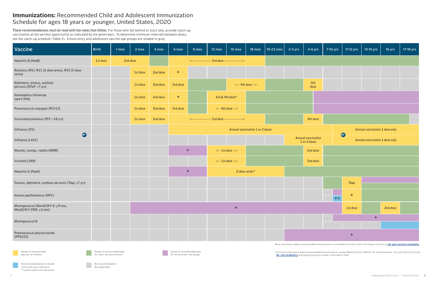### **Immunizations:** Recommended Child and Adolescent Immunization Schedule for ages 18 years or younger, United States, 2020

**These recommendations must be read with the notes that follow.** For those who fall behind or start late, provide catch-up vaccination at the earliest opportunity as indicated by the green bars. To determine minimum intervals between doses, see the catch-up schedule (Table 2). School entry and adolescent vaccine age groups are shaded in gray

| Vaccine                                                      | <b>Birth</b> | 1 mos | 2 mos    | 4 mos    | 6 mos    | 9 mos | 12 mos          | 15 mos                                      | 18 mos                          | 19-23 mos | 2-3 yrs | $4-6$ yrs                                 | 7-10 yrs | 11-12 yrs | 13-15 yrs                      | 16 yrs   | 17-18 yrs |
|--------------------------------------------------------------|--------------|-------|----------|----------|----------|-------|-----------------|---------------------------------------------|---------------------------------|-----------|---------|-------------------------------------------|----------|-----------|--------------------------------|----------|-----------|
| Hepatitis B (HepB)                                           | 1st dose     |       | 2nd dose |          |          |       |                 | <---------------- 3rd dose ---------------> |                                 |           |         |                                           |          |           |                                |          |           |
| Rotavirus (RV): RV1 (2-dose series), RV5 (3-dose<br>series)  |              |       | 1st dose | 2nd dose | $\star$  |       |                 |                                             |                                 |           |         |                                           |          |           |                                |          |           |
| Diphtheria, tetanus, acellular<br>pertussis (DTaP <7 yrs)    |              |       | 1st dose | 2nd dose | 3rd dose |       |                 |                                             | $\leftarrow$ 4th dose -->       |           |         | 5th<br>dose                               |          |           |                                |          |           |
| Haemophilus influenzae<br>type b (Hib)                       |              |       | 1st dose | 2nd dose | $\star$  |       | 3rd & 4th dose* |                                             |                                 |           |         |                                           |          |           |                                |          |           |
| Pneumococcal conjugate (PCV13)                               |              |       | 1st dose | 2nd dose | 3rd dose |       |                 | $\leftarrow$ 4th dose -->                   |                                 |           |         |                                           |          |           |                                |          |           |
| Inactivated poliovirus (IPV <18 yrs)                         |              |       | 1st dose | 2nd dose |          |       |                 | <---------------- 3rd dose ---------------> |                                 |           |         | 4th dose                                  |          |           |                                |          |           |
| Influenza (IIV)                                              |              |       |          |          |          |       |                 |                                             | Annual vaccination 1 or 2 doses |           |         |                                           |          |           | Annual vaccination 1 dose only |          |           |
| $\bullet$<br>------------<br>Influenza (LAIV)                |              |       |          |          |          |       |                 |                                             |                                 |           |         | <b>Annual vaccination</b><br>1 or 2 doses |          | $\bullet$ | Annual vaccination 1 dose only |          |           |
| Measles, mumps, rubella (MMR)                                |              |       |          |          | $\star$  |       |                 | $\leftarrow$ 1st dose -->                   |                                 |           |         | 2nd dose                                  |          |           |                                |          |           |
| Varicella (VAR)                                              |              |       |          |          |          |       |                 | $\leftarrow$ 1st dose -->                   |                                 |           |         | 2nd dose                                  |          |           |                                |          |           |
| Hepatitis A (HepA)                                           |              |       |          |          | $\star$  |       |                 | 2-dose series*                              |                                 |           |         |                                           |          |           |                                |          |           |
| Tetanus, diphtheria, acellular pertussis (Tdap $\geq 7$ yrs) |              |       |          |          |          |       |                 |                                             |                                 |           |         |                                           |          | Tdap      |                                |          |           |
| Human papillomavirus (HPV)                                   |              |       |          |          |          |       |                 |                                             |                                 |           |         |                                           | $***$    | $\star$   |                                |          |           |
| Meningococcal (MenACWY-D ≥9 mos,<br>MenACWY-CRM ≥2 mos)      |              |       |          |          |          |       |                 | $\ast$                                      |                                 |           |         |                                           |          | 1st dose  |                                | 2nd dose |           |
| Meningococcal B                                              |              |       |          |          |          |       |                 |                                             |                                 |           |         |                                           |          |           | $\star$                        |          |           |
|                                                              |              |       |          |          |          |       |                 |                                             |                                 |           |         |                                           |          |           |                                |          |           |
| Pneumococcal polysaccharide<br>(PPSV23)                      |              |       |          |          |          |       |                 |                                             |                                 |           |         |                                           |          | $\star$   |                                |          |           |

No recommendation/ No recommended<br>Not applicable

\*For more information about recommended immunizations, review Medical Policy #08.01.04: Immunizations. You can find it by visiting





More information about recommended immunizations is available from the Centers for Disease Control at [cdc.gov/vaccines/schedules](https://www.cdc.gov/vaccines/schedules/).

[ibx.com/medpolicy](https://www.ibx.com/resources/for-providers/policies-and-guidelines/operations-management/medical-policy) and typing the policy number in the search field.

Recommended based on shared clinical decision-making or \*\*can be used in this age group

Range of recommended ages for catch-up immunization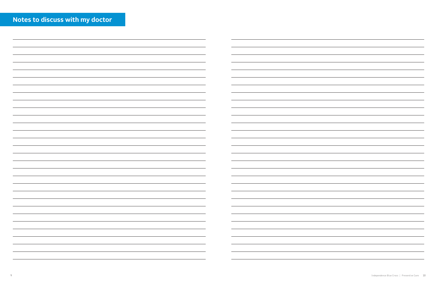| Notes to discuss with my doctor |  |  |
|---------------------------------|--|--|
|                                 |  |  |
|                                 |  |  |

| $\sim$                                                                                                                | $\sim$                                                                                                                  |
|-----------------------------------------------------------------------------------------------------------------------|-------------------------------------------------------------------------------------------------------------------------|
|                                                                                                                       | <u> 1989 - Johann Stoff, amerikansk politiker (d. 1989)</u><br>$\sim$ - $\sim$ - $\sim$                                 |
|                                                                                                                       | $\overline{\phantom{a}}$                                                                                                |
|                                                                                                                       |                                                                                                                         |
|                                                                                                                       |                                                                                                                         |
| <u> 1989 - Andrea Andrew Maria (h. 1989).</u><br>1980 - Andrew Maria (h. 1980).                                       | <u> 1989 - Johann Barn, amerikansk politiker (d. 1989)</u>                                                              |
|                                                                                                                       |                                                                                                                         |
|                                                                                                                       | <u> The Communication of the Communication of the Communication of the Communication of the Communication of the Co</u> |
| <u> 1989 - Andrea Andrea Andrea Andrea Andrea Andrea Andrea Andrea Andrea Andrea Andrea Andrea Andrea Andrea Andr</u> | <u> 1989 - Johann Barnett, fransk politiker (d. 1989)</u>                                                               |
|                                                                                                                       |                                                                                                                         |

| ۰ |
|---|
|   |
|   |
|   |
|   |
|   |
|   |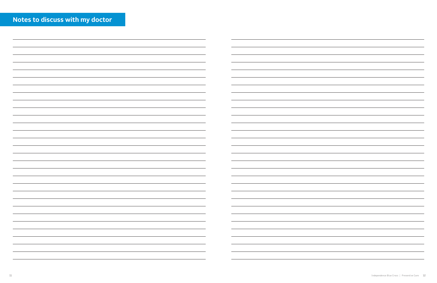| Notes to discuss with my doctor |  |  |
|---------------------------------|--|--|
|                                 |  |  |
|                                 |  |  |

| <u> 1989 - Andrea Santa Andrea Andrea Andrea Andrea Andrea Andrea Andrea Andrea Andrea Andrea Andrea Andrea Andr</u> |                                                                                                                                                                                                                               |
|----------------------------------------------------------------------------------------------------------------------|-------------------------------------------------------------------------------------------------------------------------------------------------------------------------------------------------------------------------------|
| 图1-10 Control District Control District Control District Control District Control District Control District Co       | the control of the control of the control of the control of the control of the control of the control of the control of the control of the control of the control of the control of the control of the control of the control |
|                                                                                                                      |                                                                                                                                                                                                                               |
|                                                                                                                      |                                                                                                                                                                                                                               |
| <u> 1989 - Andrea Andrew Maria (h. 1989).</u>                                                                        | <u> 1989 - Andrea Stadt Brandenburg, amerikansk politiker (d. 1989)</u>                                                                                                                                                       |
| <u> 1989 - Andrea Stadt Britain, amerikansk politiker (</u>                                                          | <u> 1989 - Johann Barn, amerikansk politiker (d. 1989)</u>                                                                                                                                                                    |
|                                                                                                                      | <u> Andrew Hermann (</u>                                                                                                                                                                                                      |
|                                                                                                                      |                                                                                                                                                                                                                               |

| ۰ |
|---|
|   |
|   |
|   |
|   |
|   |
|   |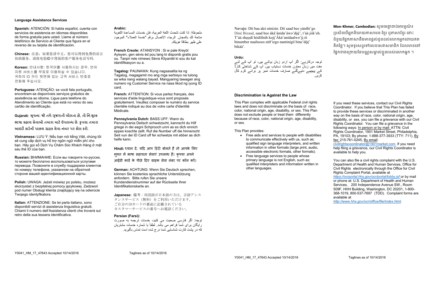#### **Language Assistance Services**

**Spanish:** ATENCIÓN: Si habla español, cuenta con servicios de asistencia en idiomas disponibles de forma gratuita para usted. Llame al número telefónico de Servicio al Cliente que figura en el reverso de su tarjeta de identificación.

**Chinese:** 注意:如果您讲中文,您可以得到免费的语言 协助服务。请致电您ID卡背面的客户服务电话号码.

**Vietnamese:** LƯU Ý: Nếu bạn nói tiếng Việt, chúng tôi sẽ cung cấp dịch vụ hỗ trợ ngôn ngữ miễn phí cho bạn. Hãy gọi số Dịch Vụ Chăm Sóc Khách Hàng ở mặt sau thẻ ID của ban.

**Korean:** 안내사항: 한국어를 사용하시는 경우, 언어 지원 서비스를 무료로 이용하실 수 있습니다. 귀하의 ID 카드 뒷면에 있는 고객 서비스 번호로 전화해 주십시오.

**Portuguese:** ATENÇÃO: se você fala português, encontram-se disponíveis serviços gratuitos de assistência ao idioma. Ligue para telefone do Atendimento ao Cliente que está no verso do seu cartão de identificação.

**Gujarati: �ચના ૂ** : **જો તમે�જરાતી ુ બોલતા હો**, **તો િન**:**��કુ ભાષા સહાય સેવાઓ તમારા માટ��પલ�� છે**. **�ૃ પયા તમારા ��ડ� કાડ�ની પાછળ �ાહક સેવા નબર ં પર કોલ કરો.**

**Russian:** ВНИМАНИЕ: Если вы говорите по-русски, то можете бесплатно воспользоваться услугами перевода. Позвоните в службу поддержки клиентов по номеру телефона, указанном на обратной стороне вашей идентификационной карты.

**Polish:** UWAGA: Jeżeli mówisz po polsku, możesz skorzystać z bezpłatnej pomocy językowej. Zadzwoń pod numer Obsługi klienta znajdujący się na odwrocie Twojego identyfikatora.

**Italian:** ATTENZIONE: Se lei parla italiano, sono disponibili servizi di assistenza linguistica gratuiti. Chiami il numero dell'Assistenza clienti che troverà sul retro della sua tessera identificativa.

#### **Arabic:**

ملحوظة: إذا كنت تتحدث اللغة العربية، فإن خدمات المساعدة اللغوية متاحة لك بالمجان. الرجاء االتصال برقم "خدمة العمالء" الموجود على ظھر بطاقة ھويتك.

**Mon-Khmer, Cambodian:** សូមេម�្តចប់�រមមណ៍៖ ប្រសិនបើអ្នកនិយាយភាសាមន-ខ្មែរ បុភាសាខ្មែរ នោះ ជំនួយផ្នែកភាសានឹងមានផ្តល់ជូនដល់លោកអ្នកដោយឥត គិតថ្លៃ។ សូមទូរសព្ទទៅលេខសេវាសមាជិក ដែលមាននៅ ផ្នេកខាងក្រោយនេបណ្ណសម្គាលខ្លួនរបស់លោកអ្នក ។

**French Creole:** ATANSYON : Si w pale Kreyòl Ayisyen, gen sèvis èd pou lang ki disponib gratis pou ou. Tanpri rele nimewo Sèvis Kliyantèl ki sou do kat idantifikasyon ou a.

**Tagalog:** PAUNAWA: Kung nagsasalita ka ng Tagalog, magagamit mo ang mga serbisyo na tulong sa wika nang walang bayad. Mangyaring tawagan ang numero ng Customer Service na nasa likod ng iyong ID card.

**French:** ATTENTION: Si vous parlez français, des services d'aide linguistique-vous sont proposés gratuitement. Veuillez composer le numéro du service clientèle indiqué au dos de votre carte d'identité Médicale.

- Free aids and services to people with disabilities to communicate effectively with us, such as: qualified sign language interpreters, and written information in other formats (large print, audio, accessible electronic formats, other formats).
- Free language services to people whose primary language is not English, such as: qualified interpreters and information written in other languages.

**Pennsylvania Dutch:** BASS UFF: Wann du Pennsylvania Deitsch schwetzscht, kannscht du Hilf griege in dei eegni Schprooch unni as es dich ennich eppes koschte zellt. Ruf die Number uff die hinnerscht Seit vun dei ID Card uff fer schwetze mit ebber as dich helfe kann.

**Hindi: ध्यान दें: यदि आप हिंदी बोलते हैं तो आपके लिए** मुफ्त में भाषा सहायता सेवाएं उपलब्ध है। कृपया अपने आईडी कार्ड के पीछे दिए ग्राहक सेवा नंबर पर कॉल करें।

**German:** ACHTUNG: Wenn Sie Deutsch sprechen, können Sie kostenlos sprachliche Unterstützung anfordern. Bitte rufen Sie unsere Kundendienstnummer auf der Rückseite Ihrer Identifikationskarte an.

https://ocrportal.hhs.gov/ocr/portal/lobby.jsf or by mail or phone at: U.S. Department of Health and Human Services, 200 Independence Avenue SW., Room 509F, HHH Building, Washington, DC 20201, 1-800- 368-1019, 800-537-7697 (TDD). Complaint forms are available at

**Japanese:** 備考:母国語が日本語の方は、言語アシス タンスサービス(無料)をご利用いただけます。 ご自分のIDカードの裏面に記載されている カスタマーサービスの番号へお電話ください。

#### **Persian (Farsi):**

توجه: اگر فارسی صحبت می کنيد، خدمات ترجمه به صورت رایگان برای شما فراهم می باشد. لطفاً با شماره خدمات مشتریان که در پشت کارت شناسايی شما درج شده است تماس بگيريد.

Navajo: Díí baa akó nínízin: Díí saad bee yáníłti'go Diné Bizaad, saad bee áká'ánída'áwo'déé', t'áá jiik'eh. T'áá shoodí hódíílnih koji'Áká'anídaalwo'ji éí binumber naaltsoos nitl'izgo nantinígíí bine'déé' bikáá'.

#### **Urdu:**

توجہ درکارہے: اگر آپ اردو زبان بولتے ہيں، تو آپ کے لئے مفت ميں زبان معاون خدمات دستياب ہيں۔ آپ کے شناختی کارڈ کے پيچھے دئيےگئے صارف خدمات نمبر پر برائے کرم کال کريں.

#### **Discrimination is Against the Law**

This Plan complies with applicable Federal civil rights laws and does not discriminate on the basis of race, color, national origin, age, disability, or sex. This Plan does not exclude people or treat them differently because of race, color, national origin, age, disability, or sex.

This Plan provides:

If you need these services, contact our Civil Rights Coordinator. If you believe that This Plan has failed to provide these services or discriminated in another way on the basis of race, color, national origin, age, disability, or sex, you can file a grievance with our Civil Rights Coordinator. You can file a grievance in the following ways: In person or by mail: ATTN: Civil Rights Coordinator, 1901 Market Street, Philadelphia, PA, 19103; By phone: 1-888-377-3933 (TTY: 711), By fax: 215-761-0245, By email:

civilrightscoordinator@1901market.com. If you need help filing a grievance, our Civil Rights Coordinator is available to help you.

You can also file a civil rights complaint with the U.S. Department of Health and Human Services, Office for Civil Rights electronically through the Office for Civil Rights Complaint Portal, available at

*http://www.hhs.gov/ocr/office/file/index.html.*